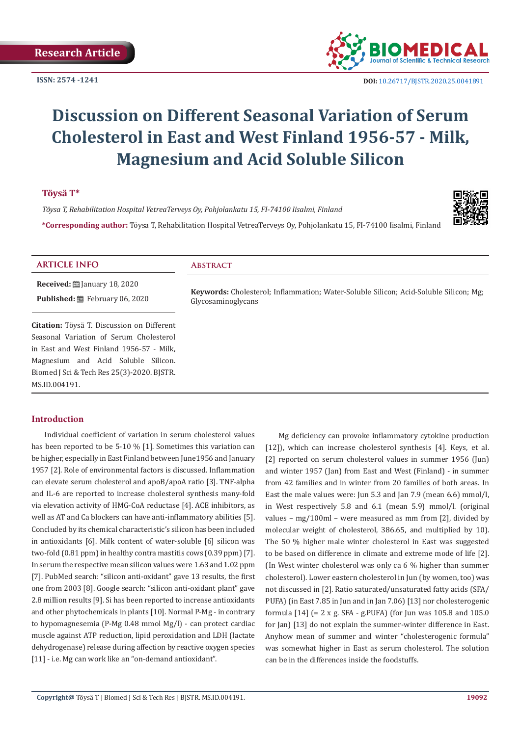

 **DOI:** [10.26717/BJSTR.2020.25.0041](http://dx.doi.org/10.26717/BJSTR.2020.25.004191)891

# **Discussion on Different Seasonal Variation of Serum Cholesterol in East and West Finland 1956-57 - Milk, Magnesium and Acid Soluble Silicon**

# **Töysä T\***

*Töysa T, Rehabilitation Hospital VetreaTerveys Oy, Pohjolankatu 15, FI-74100 Iisalmi, Finland*

**\*Corresponding author:** Töysa T, Rehabilitation Hospital VetreaTerveys Oy, Pohjolankatu 15, FI-74100 Iisalmi, Finland



#### **ARTICLE INFO Abstract**

**Received:** ■ January 18, 2020 Published: **■**February 06, 2020

**Citation:** Töysä T. Discussion on Different Seasonal Variation of Serum Cholesterol in East and West Finland 1956-57 - Milk, Magnesium and Acid Soluble Silicon. Biomed J Sci & Tech Res 25(3)-2020. BJSTR. MS.ID.004191.

**Keywords:** Cholesterol; Inflammation; Water-Soluble Silicon; Acid-Soluble Silicon; Mg; Glycosaminoglycans

# **Introduction**

Individual coefficient of variation in serum cholesterol values has been reported to be 5-10 % [1]. Sometimes this variation can be higher, especially in East Finland between June1956 and January 1957 [2]. Role of environmental factors is discussed. Inflammation can elevate serum cholesterol and apoB/apoA ratio [3]. TNF-alpha and IL-6 are reported to increase cholesterol synthesis many-fold via elevation activity of HMG-CoA reductase [4]. ACE inhibitors, as well as AT and Ca blockers can have anti-inflammatory abilities [5]. Concluded by its chemical characteristic's silicon has been included in antioxidants [6]. Milk content of water-soluble [6] silicon was two-fold (0.81 ppm) in healthy contra mastitis cows (0.39 ppm) [7]. In serum the respective mean silicon values were 1.63 and 1.02 ppm [7]. PubMed search: "silicon anti-oxidant" gave 13 results, the first one from 2003 [8]. Google search: "silicon anti-oxidant plant" gave 2.8 million results [9]. Si has been reported to increase antioxidants and other phytochemicals in plants [10]. Normal P-Mg - in contrary to hypomagnesemia (P-Mg 0.48 mmol Mg/l) - can protect cardiac muscle against ATP reduction, lipid peroxidation and LDH (lactate dehydrogenase) release during affection by reactive oxygen species [11] - i.e. Mg can work like an "on-demand antioxidant".

Mg deficiency can provoke inflammatory cytokine production [12]), which can increase cholesterol synthesis [4]. Keys, et al. [2] reported on serum cholesterol values in summer 1956 (Jun) and winter 1957 (Jan) from East and West (Finland) - in summer from 42 families and in winter from 20 families of both areas. In East the male values were: Jun 5.3 and Jan 7.9 (mean 6.6) mmol/l, in West respectively 5.8 and 6.1 (mean 5.9) mmol/l. (original values – mg/100ml – were measured as mm from [2], divided by molecular weight of cholesterol, 386.65, and multiplied by 10). The 50 % higher male winter cholesterol in East was suggested to be based on difference in climate and extreme mode of life [2]. (In West winter cholesterol was only ca 6 % higher than summer cholesterol). Lower eastern cholesterol in Jun (by women, too) was not discussed in [2]. Ratio saturated/unsaturated fatty acids (SFA/ PUFA) (in East 7.85 in Jun and in Jan 7.06) [13] nor cholesterogenic formula [14] (= 2 x g. SFA - g.PUFA) (for Jun was 105.8 and 105.0 for Jan) [13] do not explain the summer-winter difference in East. Anyhow mean of summer and winter "cholesterogenic formula" was somewhat higher in East as serum cholesterol. The solution can be in the differences inside the foodstuffs.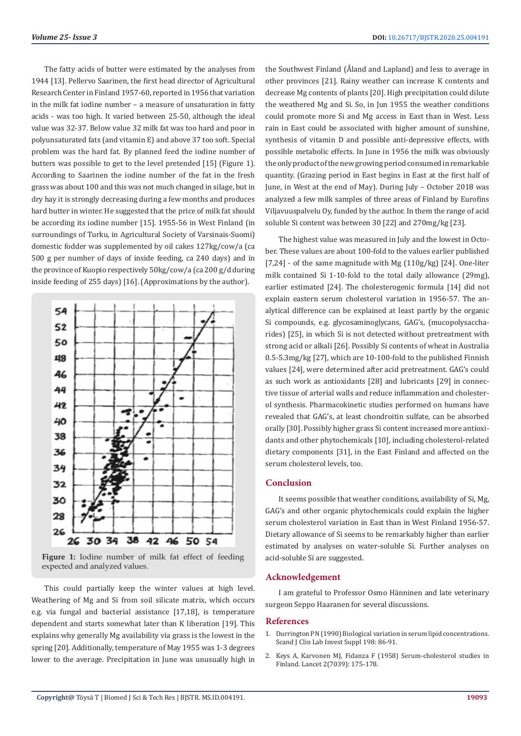The fatty acids of butter were estimated by the analyses from 1944 [13]. Pellervo Saarinen, the first head director of Agricultural Research Center in Finland 1957-60, reported in 1956 that variation in the milk fat iodine number – a measure of unsaturation in fatty acids - was too high. It varied between 25-50, although the ideal value was 32-37. Below value 32 milk fat was too hard and poor in polyunsaturated fats (and vitamin E) and above 37 too soft. Special problem was the hard fat. By planned feed the iodine number of butters was possible to get to the level pretended [15] (Figure 1). According to Saarinen the iodine number of the fat in the fresh grass was about 100 and this was not much changed in silage, but in dry hay it is strongly decreasing during a few months and produces hard butter in winter. He suggested that the price of milk fat should be according its iodine number [15]. 1955-56 in West Finland (in surroundings of Turku, in Agricultural Society of Varsinais-Suomi) domestic fodder was supplemented by oil cakes 127kg/cow/a (ca 500 g per number of days of inside feeding, ca 240 days) and in the province of Kuopio respectively 50kg/cow/a (ca 200 g/d during inside feeding of 255 days) [16]. (Approximations by the author).



Figure 1: Iodine number of milk fat effect of feeding expected and analyzed values.

This could partially keep the winter values at high level. Weathering of Mg and Si from soil silicate matrix, which occurs e.g. via fungal and bacterial assistance [17,18], is temperature dependent and starts somewhat later than K liberation [19]. This explains why generally Mg availability via grass is the lowest in the spring [20]. Additionally, temperature of May 1955 was 1-3 degrees lower to the average. Precipitation in June was unusually high in

the Southwest Finland (Åland and Lapland) and less to average in other provinces [21]. Rainy weather can increase K contents and decrease Mg contents of plants [20]. High precipitation could dilute the weathered Mg and Si. So, in Jun 1955 the weather conditions could promote more Si and Mg access in East than in West. Less rain in East could be associated with higher amount of sunshine, synthesis of vitamin D and possible anti-depressive effects, with possible metabolic effects. In June in 1956 the milk was obviously the only product of the new growing period consumed in remarkable quantity. (Grazing period in East begins in East at the first half of June, in West at the end of May). During July – October 2018 was analyzed a few milk samples of three areas of Finland by Eurofins Viljavuuspalvelu Oy, funded by the author. In them the range of acid soluble Si content was between 30 [22] and 270mg/kg [23].

The highest value was measured in July and the lowest in October. These values are about 100-fold to the values earlier published [7,24] - of the same magnitude with Mg (110g/kg) [24]. One-liter milk contained Si 1-10-fold to the total daily allowance (29mg), earlier estimated [24]. The cholesterogenic formula [14] did not explain eastern serum cholesterol variation in 1956-57. The analytical difference can be explained at least partly by the organic Si compounds, e.g. glycosaminoglycans, GAG's, (mucopolysaccharides) [25], in which Si is not detected without pretreatment with strong acid or alkali [26]. Possibly Si contents of wheat in Australia 0.5-5.3mg/kg [27], which are 10-100-fold to the published Finnish values [24], were determined after acid pretreatment. GAG's could as such work as antioxidants [28] and lubricants [29] in connective tissue of arterial walls and reduce inflammation and cholesterol synthesis. Pharmacokinetic studies performed on humans have revealed that GAG's, at least chondroitin sulfate, can be absorbed orally [30]. Possibly higher grass Si content increased more antioxidants and other phytochemicals [10], including cholesterol-related dietary components [31], in the East Finland and affected on the serum cholesterol levels, too.

### **Conclusion**

It seems possible that weather conditions, availability of Si, Mg, GAG's and other organic phytochemicals could explain the higher serum cholesterol variation in East than in West Finland 1956-57. Dietary allowance of Si seems to be remarkably higher than earlier estimated by analyses on water-soluble Si. Further analyses on acid-soluble Si are suggested.

#### **Acknowledgement**

I am grateful to Professor Osmo Hänninen and late veterinary surgeon Seppo Haaranen for several discussions.

#### **References**

- 1. [Durrington PN \(1990\) Biological variation in serum lipid concentrations.](https://www.ncbi.nlm.nih.gov/pubmed/2189212) [Scand J Clin Lab Invest Suppl 198: 86-91.](https://www.ncbi.nlm.nih.gov/pubmed/2189212)
- 2. [Keys A, Karvonen MJ, Fidanza F \(1958\) Serum-cholesterol studies in](https://www.ncbi.nlm.nih.gov/pubmed/13564791) [Finland. Lancet 2\(7039\): 175-178.](https://www.ncbi.nlm.nih.gov/pubmed/13564791)